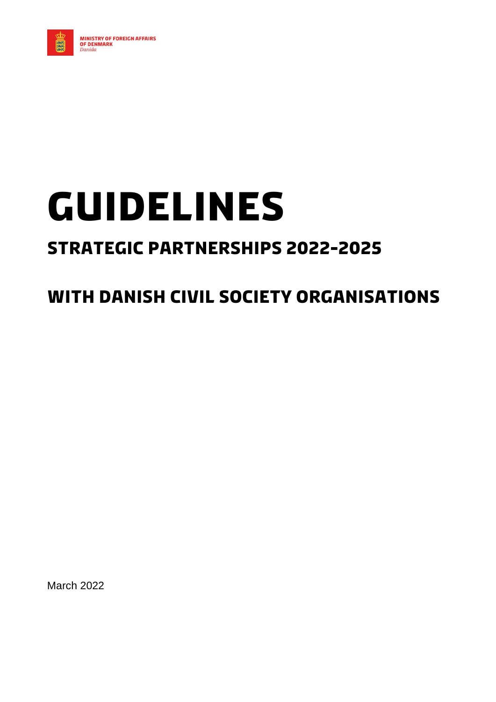

# **Guidelines**

# **Strategic Partnerships 2022-2025**

# **With Danish Civil Society Organisations**

March 2022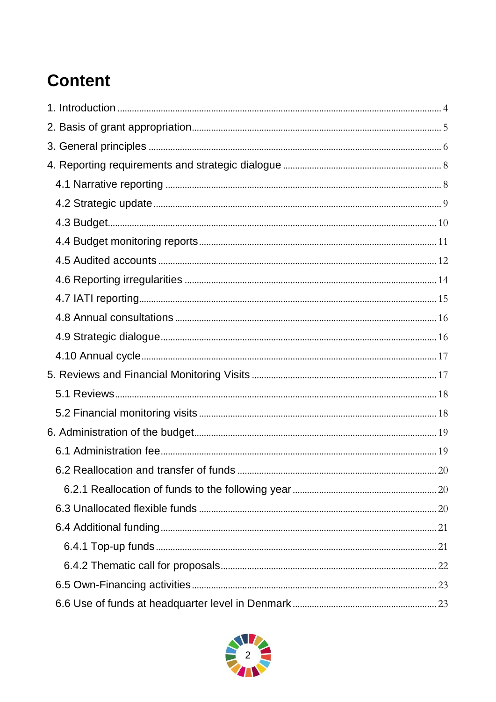# **Content**

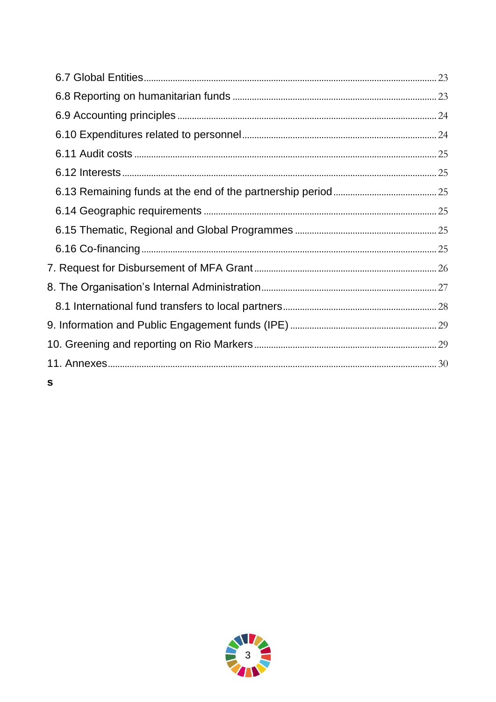| S |  |
|---|--|

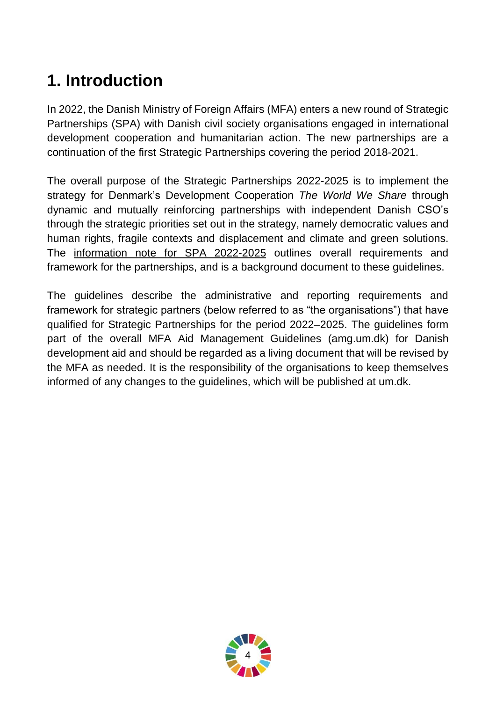# <span id="page-3-0"></span>**1. Introduction**

In 2022, the Danish Ministry of Foreign Affairs (MFA) enters a new round of Strategic Partnerships (SPA) with Danish civil society organisations engaged in international development cooperation and humanitarian action. The new partnerships are a continuation of the first Strategic Partnerships covering the period 2018-2021.

The overall purpose of the Strategic Partnerships 2022-2025 is to implement the strategy for Denmark's Development Cooperation *The World We Share* through dynamic and mutually reinforcing partnerships with independent Danish CSO's through the strategic priorities set out in the strategy, namely democratic values and human rights, fragile contexts and displacement and climate and green solutions. The [information](https://um.dk/danida/samarbejspartnere/civ-org/stoetteform/ny-runde-strategiske-partnerskaber-2022-2025/ansoegning-om-strategisk-partnerskab-2022-2025) note for SPA 2022-2025 outlines overall requirements and framework for the partnerships, and is a background document to these guidelines.

The guidelines describe the administrative and reporting requirements and framework for strategic partners (below referred to as "the organisations") that have qualified for Strategic Partnerships for the period 2022–2025. The guidelines form part of the overall MFA Aid Management Guidelines (amg.um.dk) for Danish development aid and should be regarded as a living document that will be revised by the MFA as needed. It is the responsibility of the organisations to keep themselves informed of any changes to the guidelines, which will be published at um.dk.

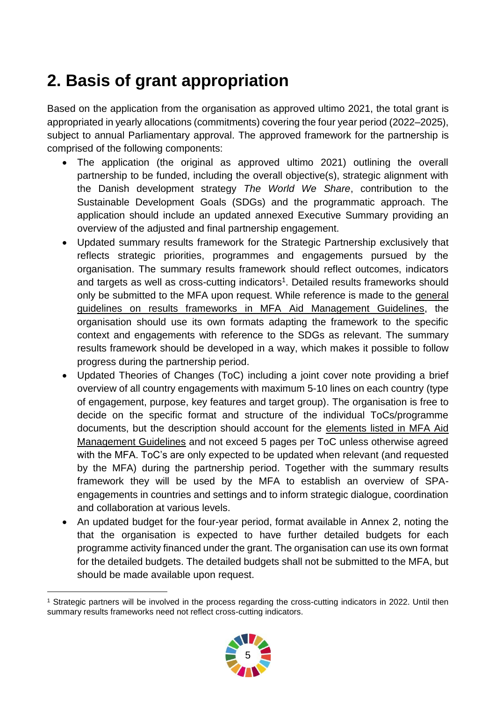# <span id="page-4-0"></span>**2. Basis of grant appropriation**

Based on the application from the organisation as approved ultimo 2021, the total grant is appropriated in yearly allocations (commitments) covering the four year period (2022–2025), subject to annual Parliamentary approval. The approved framework for the partnership is comprised of the following components:

- The application (the original as approved ultimo 2021) outlining the overall partnership to be funded, including the overall objective(s), strategic alignment with the Danish development strategy *The World We Share*, contribution to the Sustainable Development Goals (SDGs) and the programmatic approach. The application should include an updated annexed Executive Summary providing an overview of the adjusted and final partnership engagement.
- Updated summary results framework for the Strategic Partnership exclusively that reflects strategic priorities, programmes and engagements pursued by the organisation. The summary results framework should reflect outcomes, indicators and targets as well as cross-cutting indicators<sup>1</sup>. Detailed results frameworks should only be submitted to the MFA upon request. While reference is made to the [general](https://amg.um.dk/bilateral-cooperation/guidelines-for-country-strategic-frameworks-programmes-and-projects)  [guidelines on results frameworks in MFA](https://amg.um.dk/bilateral-cooperation/guidelines-for-country-strategic-frameworks-programmes-and-projects) Aid Management Guidelines, the organisation should use its own formats adapting the framework to the specific context and engagements with reference to the SDGs as relevant. The summary results framework should be developed in a way, which makes it possible to follow progress during the partnership period.
- Updated Theories of Changes (ToC) including a joint cover note providing a brief overview of all country engagements with maximum 5-10 lines on each country (type of engagement, purpose, key features and target group). The organisation is free to decide on the specific format and structure of the individual ToCs/programme documents, but the description should account for the [elements listed in MFA Aid](https://amg.um.dk/bilateral-cooperation/guidelines-for-country-strategic-frameworks-programmes-and-projects)  [Management Guidelines](https://amg.um.dk/bilateral-cooperation/guidelines-for-country-strategic-frameworks-programmes-and-projects) and not exceed 5 pages per ToC unless otherwise agreed with the MFA. ToC's are only expected to be updated when relevant (and requested by the MFA) during the partnership period. Together with the summary results framework they will be used by the MFA to establish an overview of SPAengagements in countries and settings and to inform strategic dialogue, coordination and collaboration at various levels.
- An updated budget for the four-year period, format available in Annex 2, noting the that the organisation is expected to have further detailed budgets for each programme activity financed under the grant. The organisation can use its own format for the detailed budgets. The detailed budgets shall not be submitted to the MFA, but should be made available upon request.

<sup>-</sup><sup>1</sup> Strategic partners will be involved in the process regarding the cross-cutting indicators in 2022. Until then summary results frameworks need not reflect cross-cutting indicators.

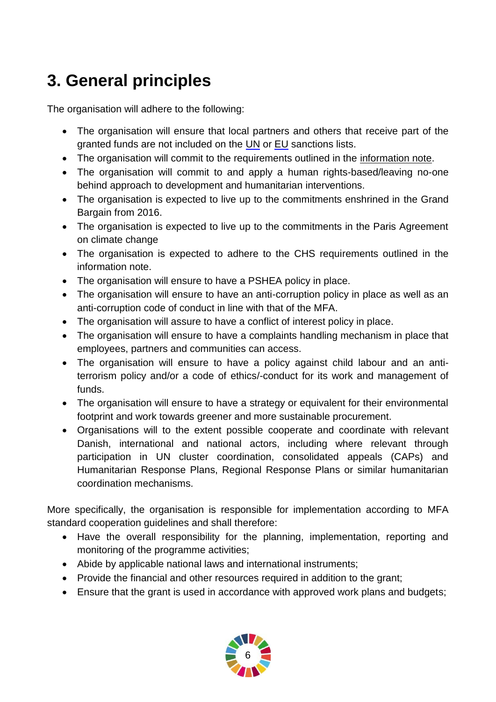# <span id="page-5-0"></span>**3. General principles**

The organisation will adhere to the following:

- The organisation will ensure that local partners and others that receive part of the granted funds are not included on the [UN](https://www.un.org/sc/suborg/en/sanctions/un-sc-consolidated-list) or [EU](https://eeas.europa.eu/topics/sanctions-policy/8442/consolidated-list-of-sanctions_en) sanctions lists.
- The organisation will commit to the requirements outlined in the [information note.](https://um.dk/danida/samarbejspartnere/civ-org/stoetteform/ny-runde-strategiske-partnerskaber-2022-2025/ansoegning-om-strategisk-partnerskab-2022-2025)
- The organisation will commit to and apply a human rights-based/leaving no-one behind approach to development and humanitarian interventions.
- The organisation is expected to live up to the commitments enshrined in the Grand Bargain from 2016.
- The organisation is expected to live up to the commitments in the Paris Agreement on climate change
- The organisation is expected to adhere to the CHS requirements outlined in the information note.
- The organisation will ensure to have a PSHEA policy in place.
- The organisation will ensure to have an anti-corruption policy in place as well as an anti-corruption code of conduct in line with that of the MFA.
- The organisation will assure to have a conflict of interest policy in place.
- The organisation will ensure to have a complaints handling mechanism in place that employees, partners and communities can access.
- The organisation will ensure to have a policy against child labour and an antiterrorism policy and/or a code of ethics/-conduct for its work and management of funds.
- The organisation will ensure to have a strategy or equivalent for their environmental footprint and work towards greener and more sustainable procurement.
- Organisations will to the extent possible cooperate and coordinate with relevant Danish, international and national actors, including where relevant through participation in UN cluster coordination, consolidated appeals (CAPs) and Humanitarian Response Plans, Regional Response Plans or similar humanitarian coordination mechanisms.

More specifically, the organisation is responsible for implementation according to MFA standard cooperation guidelines and shall therefore:

- Have the overall responsibility for the planning, implementation, reporting and monitoring of the programme activities;
- Abide by applicable national laws and international instruments;
- Provide the financial and other resources required in addition to the grant;
- Ensure that the grant is used in accordance with approved work plans and budgets;

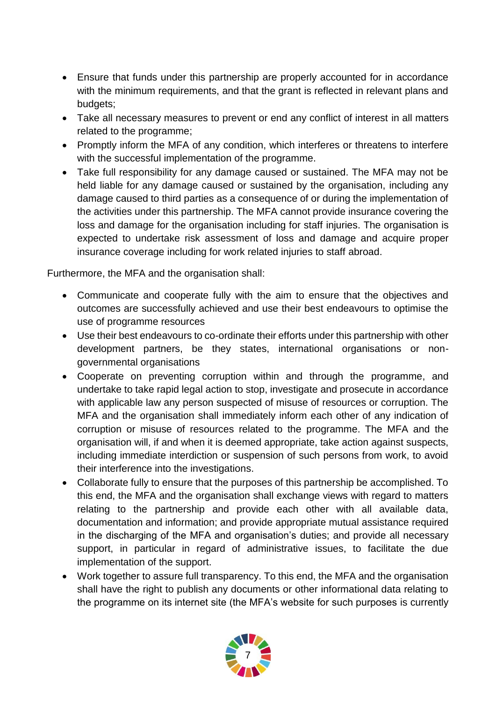- Ensure that funds under this partnership are properly accounted for in accordance with the minimum requirements, and that the grant is reflected in relevant plans and budgets;
- Take all necessary measures to prevent or end any conflict of interest in all matters related to the programme;
- Promptly inform the MFA of any condition, which interferes or threatens to interfere with the successful implementation of the programme.
- Take full responsibility for any damage caused or sustained. The MFA may not be held liable for any damage caused or sustained by the organisation, including any damage caused to third parties as a consequence of or during the implementation of the activities under this partnership. The MFA cannot provide insurance covering the loss and damage for the organisation including for staff injuries. The organisation is expected to undertake risk assessment of loss and damage and acquire proper insurance coverage including for work related injuries to staff abroad.

Furthermore, the MFA and the organisation shall:

- Communicate and cooperate fully with the aim to ensure that the objectives and outcomes are successfully achieved and use their best endeavours to optimise the use of programme resources
- Use their best endeavours to co-ordinate their efforts under this partnership with other development partners, be they states, international organisations or nongovernmental organisations
- Cooperate on preventing corruption within and through the programme, and undertake to take rapid legal action to stop, investigate and prosecute in accordance with applicable law any person suspected of misuse of resources or corruption. The MFA and the organisation shall immediately inform each other of any indication of corruption or misuse of resources related to the programme. The MFA and the organisation will, if and when it is deemed appropriate, take action against suspects, including immediate interdiction or suspension of such persons from work, to avoid their interference into the investigations.
- Collaborate fully to ensure that the purposes of this partnership be accomplished. To this end, the MFA and the organisation shall exchange views with regard to matters relating to the partnership and provide each other with all available data, documentation and information; and provide appropriate mutual assistance required in the discharging of the MFA and organisation's duties; and provide all necessary support, in particular in regard of administrative issues, to facilitate the due implementation of the support.
- Work together to assure full transparency. To this end, the MFA and the organisation shall have the right to publish any documents or other informational data relating to the programme on its internet site (the MFA's website for such purposes is currently

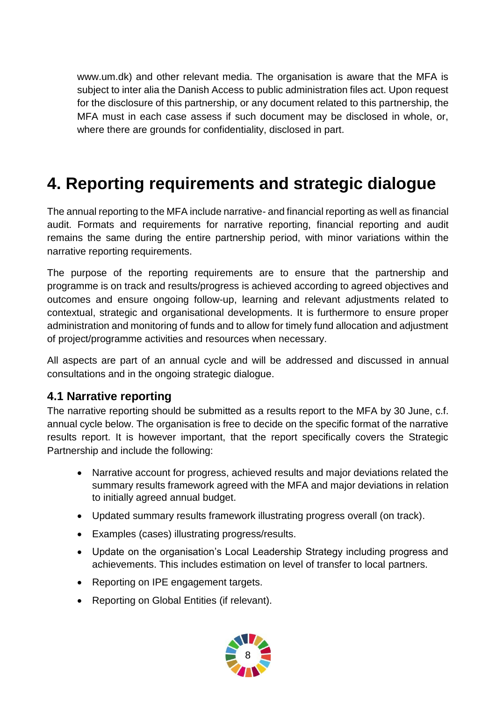www.um.dk) and other relevant media. The organisation is aware that the MFA is subject to inter alia the Danish Access to public administration files act. Upon request for the disclosure of this partnership, or any document related to this partnership, the MFA must in each case assess if such document may be disclosed in whole, or, where there are grounds for confidentiality, disclosed in part.

# <span id="page-7-0"></span>**4. Reporting requirements and strategic dialogue**

The annual reporting to the MFA include narrative- and financial reporting as well as financial audit. Formats and requirements for narrative reporting, financial reporting and audit remains the same during the entire partnership period, with minor variations within the narrative reporting requirements.

The purpose of the reporting requirements are to ensure that the partnership and programme is on track and results/progress is achieved according to agreed objectives and outcomes and ensure ongoing follow-up, learning and relevant adjustments related to contextual, strategic and organisational developments. It is furthermore to ensure proper administration and monitoring of funds and to allow for timely fund allocation and adjustment of project/programme activities and resources when necessary.

All aspects are part of an annual cycle and will be addressed and discussed in annual consultations and in the ongoing strategic dialogue.

#### <span id="page-7-1"></span>**4.1 Narrative reporting**

The narrative reporting should be submitted as a results report to the MFA by 30 June, c.f. annual cycle below. The organisation is free to decide on the specific format of the narrative results report. It is however important, that the report specifically covers the Strategic Partnership and include the following:

- Narrative account for progress, achieved results and major deviations related the summary results framework agreed with the MFA and major deviations in relation to initially agreed annual budget.
- Updated summary results framework illustrating progress overall (on track).
- Examples (cases) illustrating progress/results.
- Update on the organisation's Local Leadership Strategy including progress and achievements. This includes estimation on level of transfer to local partners.
- Reporting on IPE engagement targets.
- Reporting on Global Entities (if relevant).

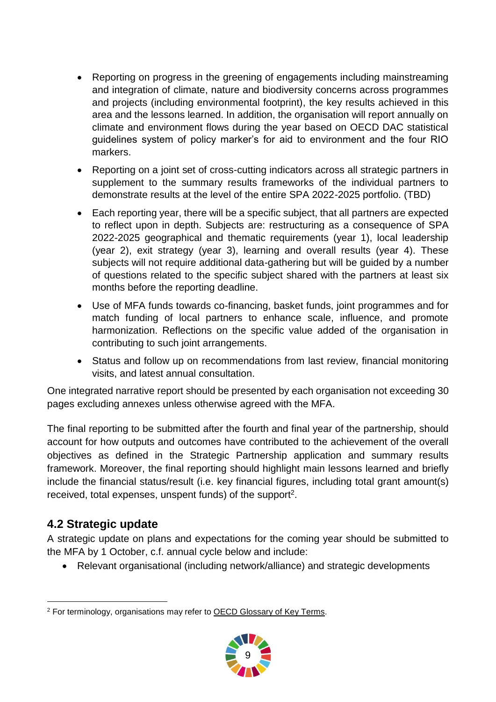- Reporting on progress in the greening of engagements including mainstreaming and integration of climate, nature and biodiversity concerns across programmes and projects (including environmental footprint), the key results achieved in this area and the lessons learned. In addition, the organisation will report annually on climate and environment flows during the year based on OECD DAC statistical guidelines system of policy marker's for aid to environment and the four RIO markers.
- Reporting on a joint set of cross-cutting indicators across all strategic partners in supplement to the summary results frameworks of the individual partners to demonstrate results at the level of the entire SPA 2022-2025 portfolio. (TBD)
- Each reporting year, there will be a specific subject, that all partners are expected to reflect upon in depth. Subjects are: restructuring as a consequence of SPA 2022-2025 geographical and thematic requirements (year 1), local leadership (year 2), exit strategy (year 3), learning and overall results (year 4). These subjects will not require additional data-gathering but will be guided by a number of questions related to the specific subject shared with the partners at least six months before the reporting deadline.
- Use of MFA funds towards co-financing, basket funds, joint programmes and for match funding of local partners to enhance scale, influence, and promote harmonization. Reflections on the specific value added of the organisation in contributing to such joint arrangements.
- Status and follow up on recommendations from last review, financial monitoring visits, and latest annual consultation.

One integrated narrative report should be presented by each organisation not exceeding 30 pages excluding annexes unless otherwise agreed with the MFA.

The final reporting to be submitted after the fourth and final year of the partnership, should account for how outputs and outcomes have contributed to the achievement of the overall objectives as defined in the Strategic Partnership application and summary results framework. Moreover, the final reporting should highlight main lessons learned and briefly include the financial status/result (i.e. key financial figures, including total grant amount(s) received, total expenses, unspent funds) of the support<sup>2</sup>.

### <span id="page-8-0"></span>**4.2 Strategic update**

A strategic update on plans and expectations for the coming year should be submitted to the MFA by 1 October, c.f. annual cycle below and include:

Relevant organisational (including network/alliance) and strategic developments

<sup>-</sup><sup>2</sup> For terminology, organisations may refer to OECD [Glossary](http://www.oecd.org/dac/evaluation/2754804.pdf) of Key Terms.

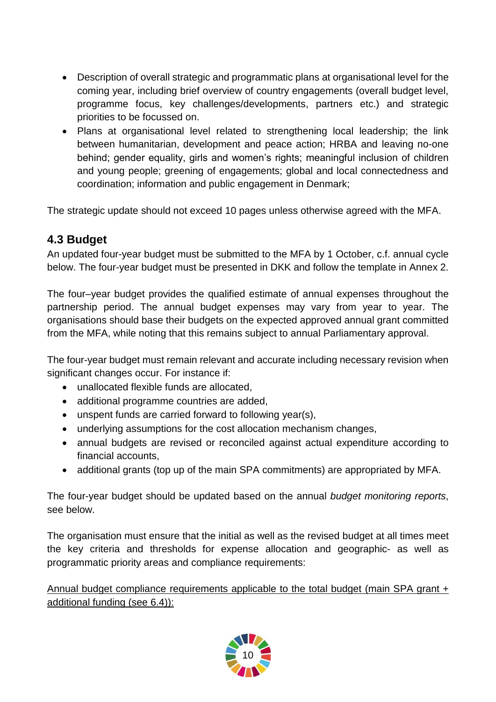- Description of overall strategic and programmatic plans at organisational level for the coming year, including brief overview of country engagements (overall budget level, programme focus, key challenges/developments, partners etc.) and strategic priorities to be focussed on.
- Plans at organisational level related to strengthening local leadership; the link between humanitarian, development and peace action; HRBA and leaving no-one behind; gender equality, girls and women's rights; meaningful inclusion of children and young people; greening of engagements; global and local connectedness and coordination; information and public engagement in Denmark;

The strategic update should not exceed 10 pages unless otherwise agreed with the MFA.

### <span id="page-9-0"></span>**4.3 Budget**

An updated four-year budget must be submitted to the MFA by 1 October, c.f. annual cycle below. The four-year budget must be presented in DKK and follow the template in Annex 2.

The four–year budget provides the qualified estimate of annual expenses throughout the partnership period. The annual budget expenses may vary from year to year. The organisations should base their budgets on the expected approved annual grant committed from the MFA, while noting that this remains subject to annual Parliamentary approval.

The four-year budget must remain relevant and accurate including necessary revision when significant changes occur. For instance if:

- unallocated flexible funds are allocated,
- additional programme countries are added,
- unspent funds are carried forward to following year(s),
- underlying assumptions for the cost allocation mechanism changes,
- annual budgets are revised or reconciled against actual expenditure according to financial accounts,
- additional grants (top up of the main SPA commitments) are appropriated by MFA.

The four-year budget should be updated based on the annual *budget monitoring reports*, see below.

The organisation must ensure that the initial as well as the revised budget at all times meet the key criteria and thresholds for expense allocation and geographic- as well as programmatic priority areas and compliance requirements:

Annual budget compliance requirements applicable to the total budget (main SPA grant + additional funding (see 6.4)):

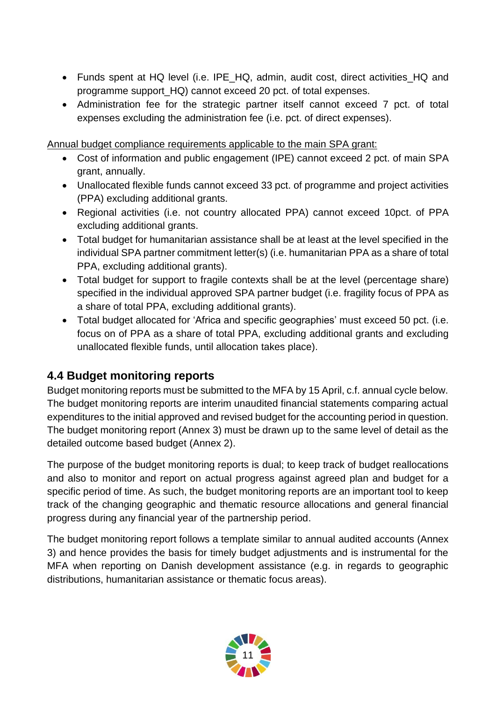- Funds spent at HQ level (i.e. IPE\_HQ, admin, audit cost, direct activities\_HQ and programme support\_HQ) cannot exceed 20 pct. of total expenses.
- Administration fee for the strategic partner itself cannot exceed 7 pct. of total expenses excluding the administration fee (i.e. pct. of direct expenses).

Annual budget compliance requirements applicable to the main SPA grant:

- Cost of information and public engagement (IPE) cannot exceed 2 pct. of main SPA grant, annually.
- Unallocated flexible funds cannot exceed 33 pct. of programme and project activities (PPA) excluding additional grants.
- Regional activities (i.e. not country allocated PPA) cannot exceed 10pct. of PPA excluding additional grants.
- Total budget for humanitarian assistance shall be at least at the level specified in the individual SPA partner commitment letter(s) (i.e. humanitarian PPA as a share of total PPA, excluding additional grants).
- Total budget for support to fragile contexts shall be at the level (percentage share) specified in the individual approved SPA partner budget (i.e. fragility focus of PPA as a share of total PPA, excluding additional grants).
- Total budget allocated for 'Africa and specific geographies' must exceed 50 pct. (i.e. focus on of PPA as a share of total PPA, excluding additional grants and excluding unallocated flexible funds, until allocation takes place).

#### <span id="page-10-0"></span>**4.4 Budget monitoring reports**

Budget monitoring reports must be submitted to the MFA by 15 April, c.f. annual cycle below. The budget monitoring reports are interim unaudited financial statements comparing actual expenditures to the initial approved and revised budget for the accounting period in question. The budget monitoring report (Annex 3) must be drawn up to the same level of detail as the detailed outcome based budget (Annex 2).

The purpose of the budget monitoring reports is dual; to keep track of budget reallocations and also to monitor and report on actual progress against agreed plan and budget for a specific period of time. As such, the budget monitoring reports are an important tool to keep track of the changing geographic and thematic resource allocations and general financial progress during any financial year of the partnership period.

The budget monitoring report follows a template similar to annual audited accounts (Annex 3) and hence provides the basis for timely budget adjustments and is instrumental for the MFA when reporting on Danish development assistance (e.g. in regards to geographic distributions, humanitarian assistance or thematic focus areas).

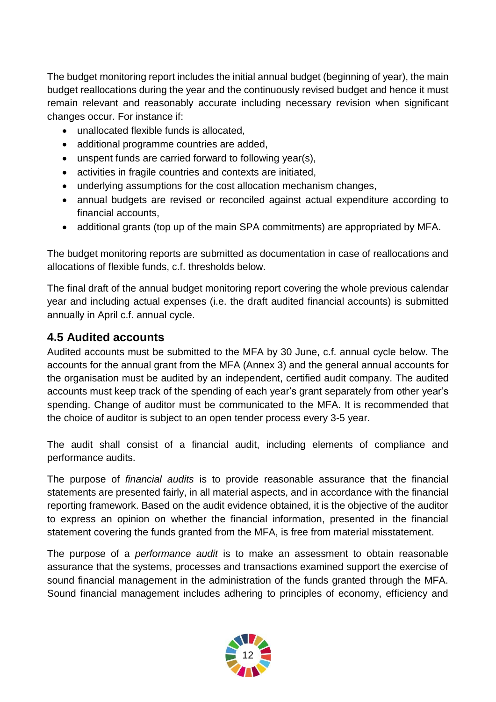The budget monitoring report includes the initial annual budget (beginning of year), the main budget reallocations during the year and the continuously revised budget and hence it must remain relevant and reasonably accurate including necessary revision when significant changes occur. For instance if:

- unallocated flexible funds is allocated,
- additional programme countries are added.
- unspent funds are carried forward to following year(s),
- activities in fragile countries and contexts are initiated,
- underlying assumptions for the cost allocation mechanism changes,
- annual budgets are revised or reconciled against actual expenditure according to financial accounts,
- additional grants (top up of the main SPA commitments) are appropriated by MFA.

The budget monitoring reports are submitted as documentation in case of reallocations and allocations of flexible funds, c.f. thresholds below.

The final draft of the annual budget monitoring report covering the whole previous calendar year and including actual expenses (i.e. the draft audited financial accounts) is submitted annually in April c.f. annual cycle.

#### <span id="page-11-0"></span>**4.5 Audited accounts**

Audited accounts must be submitted to the MFA by 30 June, c.f. annual cycle below. The accounts for the annual grant from the MFA (Annex 3) and the general annual accounts for the organisation must be audited by an independent, certified audit company. The audited accounts must keep track of the spending of each year's grant separately from other year's spending. Change of auditor must be communicated to the MFA. It is recommended that the choice of auditor is subject to an open tender process every 3-5 year.

The audit shall consist of a financial audit, including elements of compliance and performance audits.

The purpose of *financial audits* is to provide reasonable assurance that the financial statements are presented fairly, in all material aspects, and in accordance with the financial reporting framework. Based on the audit evidence obtained, it is the objective of the auditor to express an opinion on whether the financial information, presented in the financial statement covering the funds granted from the MFA, is free from material misstatement.

The purpose of a *performance audit* is to make an assessment to obtain reasonable assurance that the systems, processes and transactions examined support the exercise of sound financial management in the administration of the funds granted through the MFA. Sound financial management includes adhering to principles of economy, efficiency and

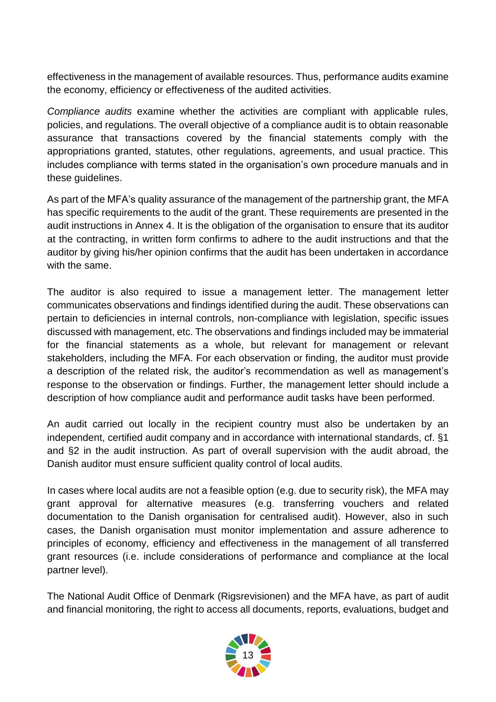effectiveness in the management of available resources. Thus, performance audits examine the economy, efficiency or effectiveness of the audited activities.

*Compliance audits* examine whether the activities are compliant with applicable rules, policies, and regulations. The overall objective of a compliance audit is to obtain reasonable assurance that transactions covered by the financial statements comply with the appropriations granted, statutes, other regulations, agreements, and usual practice. This includes compliance with terms stated in the organisation's own procedure manuals and in these guidelines.

As part of the MFA's quality assurance of the management of the partnership grant, the MFA has specific requirements to the audit of the grant. These requirements are presented in the audit instructions in Annex 4. It is the obligation of the organisation to ensure that its auditor at the contracting, in written form confirms to adhere to the audit instructions and that the auditor by giving his/her opinion confirms that the audit has been undertaken in accordance with the same.

The auditor is also required to issue a management letter. The management letter communicates observations and findings identified during the audit. These observations can pertain to deficiencies in internal controls, non-compliance with legislation, specific issues discussed with management, etc. The observations and findings included may be immaterial for the financial statements as a whole, but relevant for management or relevant stakeholders, including the MFA. For each observation or finding, the auditor must provide a description of the related risk, the auditor's recommendation as well as management's response to the observation or findings. Further, the management letter should include a description of how compliance audit and performance audit tasks have been performed.

An audit carried out locally in the recipient country must also be undertaken by an independent, certified audit company and in accordance with international standards, cf. §1 and §2 in the audit instruction. As part of overall supervision with the audit abroad, the Danish auditor must ensure sufficient quality control of local audits.

In cases where local audits are not a feasible option (e.g. due to security risk), the MFA may grant approval for alternative measures (e.g. transferring vouchers and related documentation to the Danish organisation for centralised audit). However, also in such cases, the Danish organisation must monitor implementation and assure adherence to principles of economy, efficiency and effectiveness in the management of all transferred grant resources (i.e. include considerations of performance and compliance at the local partner level).

The National Audit Office of Denmark (Rigsrevisionen) and the MFA have, as part of audit and financial monitoring, the right to access all documents, reports, evaluations, budget and

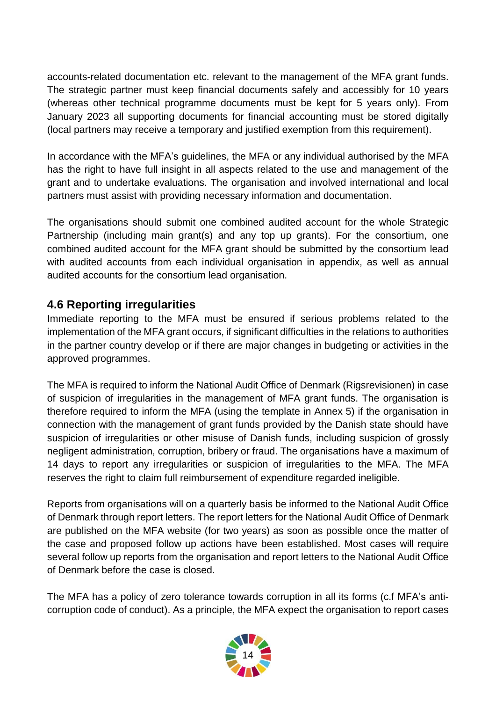accounts-related documentation etc. relevant to the management of the MFA grant funds. The strategic partner must keep financial documents safely and accessibly for 10 years (whereas other technical programme documents must be kept for 5 years only). From January 2023 all supporting documents for financial accounting must be stored digitally (local partners may receive a temporary and justified exemption from this requirement).

In accordance with the MFA's guidelines, the MFA or any individual authorised by the MFA has the right to have full insight in all aspects related to the use and management of the grant and to undertake evaluations. The organisation and involved international and local partners must assist with providing necessary information and documentation.

The organisations should submit one combined audited account for the whole Strategic Partnership (including main grant(s) and any top up grants). For the consortium, one combined audited account for the MFA grant should be submitted by the consortium lead with audited accounts from each individual organisation in appendix, as well as annual audited accounts for the consortium lead organisation.

### <span id="page-13-0"></span>**4.6 Reporting irregularities**

Immediate reporting to the MFA must be ensured if serious problems related to the implementation of the MFA grant occurs, if significant difficulties in the relations to authorities in the partner country develop or if there are major changes in budgeting or activities in the approved programmes.

The MFA is required to inform the National Audit Office of Denmark (Rigsrevisionen) in case of suspicion of irregularities in the management of MFA grant funds. The organisation is therefore required to inform the MFA (using the template in Annex 5) if the organisation in connection with the management of grant funds provided by the Danish state should have suspicion of irregularities or other misuse of Danish funds, including suspicion of grossly negligent administration, corruption, bribery or fraud. The organisations have a maximum of 14 days to report any irregularities or suspicion of irregularities to the MFA. The MFA reserves the right to claim full reimbursement of expenditure regarded ineligible.

Reports from organisations will on a quarterly basis be informed to the National Audit Office of Denmark through report letters. The report letters for the National Audit Office of Denmark are published on the MFA website (for two years) as soon as possible once the matter of the case and proposed follow up actions have been established. Most cases will require several follow up reports from the organisation and report letters to the National Audit Office of Denmark before the case is closed.

The MFA has a policy of zero tolerance towards corruption in all its forms (c.f MFA's anticorruption code of conduct). As a principle, the MFA expect the organisation to report cases

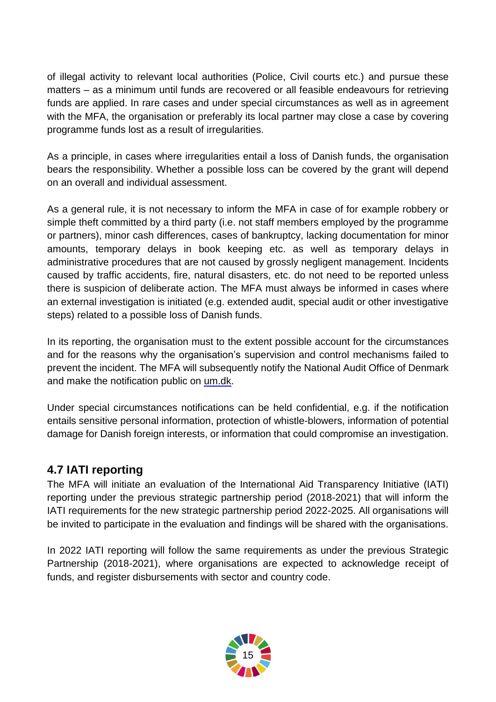of illegal activity to relevant local authorities (Police, Civil courts etc.) and pursue these matters – as a minimum until funds are recovered or all feasible endeavours for retrieving funds are applied. In rare cases and under special circumstances as well as in agreement with the MFA, the organisation or preferably its local partner may close a case by covering programme funds lost as a result of irregularities.

As a principle, in cases where irregularities entail a loss of Danish funds, the organisation bears the responsibility. Whether a possible loss can be covered by the grant will depend on an overall and individual assessment.

As a general rule, it is not necessary to inform the MFA in case of for example robbery or simple theft committed by a third party (i.e. not staff members employed by the programme or partners), minor cash differences, cases of bankruptcy, lacking documentation for minor amounts, temporary delays in book keeping etc. as well as temporary delays in administrative procedures that are not caused by grossly negligent management. Incidents caused by traffic accidents, fire, natural disasters, etc. do not need to be reported unless there is suspicion of deliberate action. The MFA must always be informed in cases where an external investigation is initiated (e.g. extended audit, special audit or other investigative steps) related to a possible loss of Danish funds.

In its reporting, the organisation must to the extent possible account for the circumstances and for the reasons why the organisation's supervision and control mechanisms failed to prevent the incident. The MFA will subsequently notify the National Audit Office of Denmark and make the notification public on [um.dk.](http://um.dk/da/danida/oplysning/bekaempelse-af-svindel/omfanget/rapportering)

Under special circumstances notifications can be held confidential, e.g. if the notification entails sensitive personal information, protection of whistle-blowers, information of potential damage for Danish foreign interests, or information that could compromise an investigation.

### <span id="page-14-0"></span>**4.7 IATI reporting**

The MFA will initiate an evaluation of the International Aid Transparency Initiative (IATI) reporting under the previous strategic partnership period (2018-2021) that will inform the IATI requirements for the new strategic partnership period 2022-2025. All organisations will be invited to participate in the evaluation and findings will be shared with the organisations.

In 2022 IATI reporting will follow the same requirements as under the previous Strategic Partnership (2018-2021), where organisations are expected to acknowledge receipt of funds, and register disbursements with sector and country code.

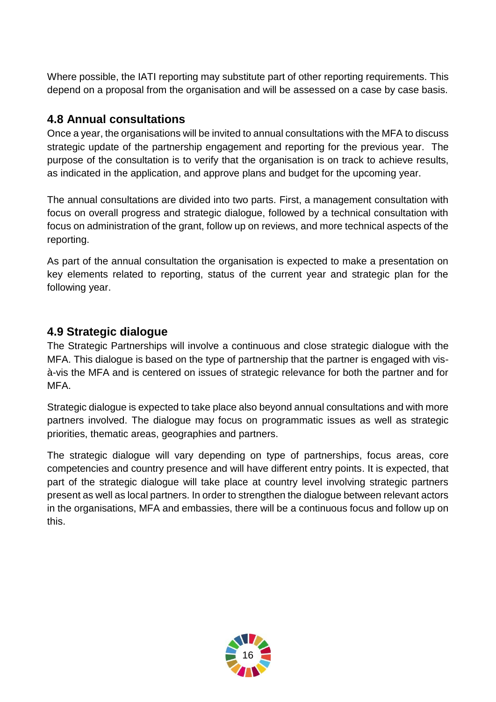Where possible, the IATI reporting may substitute part of other reporting requirements. This depend on a proposal from the organisation and will be assessed on a case by case basis.

#### <span id="page-15-0"></span>**4.8 Annual consultations**

Once a year, the organisations will be invited to annual consultations with the MFA to discuss strategic update of the partnership engagement and reporting for the previous year. The purpose of the consultation is to verify that the organisation is on track to achieve results, as indicated in the application, and approve plans and budget for the upcoming year.

The annual consultations are divided into two parts. First, a management consultation with focus on overall progress and strategic dialogue, followed by a technical consultation with focus on administration of the grant, follow up on reviews, and more technical aspects of the reporting.

As part of the annual consultation the organisation is expected to make a presentation on key elements related to reporting, status of the current year and strategic plan for the following year.

#### <span id="page-15-1"></span>**4.9 Strategic dialogue**

The Strategic Partnerships will involve a continuous and close strategic dialogue with the MFA. This dialogue is based on the type of partnership that the partner is engaged with visà-vis the MFA and is centered on issues of strategic relevance for both the partner and for MFA.

Strategic dialogue is expected to take place also beyond annual consultations and with more partners involved. The dialogue may focus on programmatic issues as well as strategic priorities, thematic areas, geographies and partners.

The strategic dialogue will vary depending on type of partnerships, focus areas, core competencies and country presence and will have different entry points. It is expected, that part of the strategic dialogue will take place at country level involving strategic partners present as well as local partners. In order to strengthen the dialogue between relevant actors in the organisations, MFA and embassies, there will be a continuous focus and follow up on this.

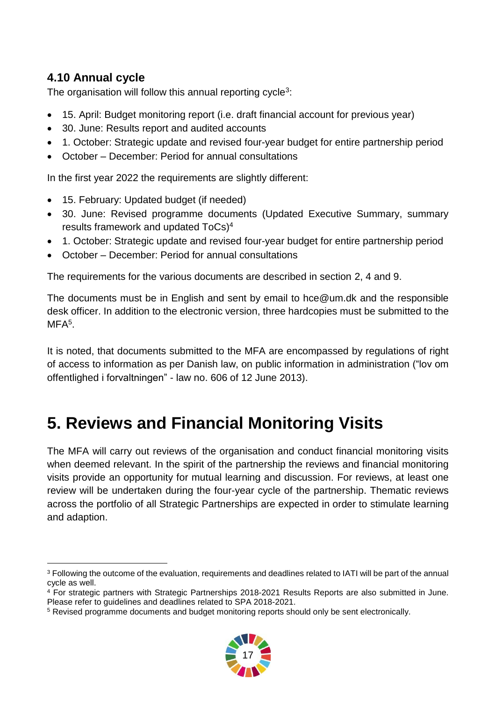## <span id="page-16-0"></span>**4.10 Annual cycle**

-

The organisation will follow this annual reporting cycle<sup>3</sup>:

- 15. April: Budget monitoring report (i.e. draft financial account for previous year)
- 30. June: Results report and audited accounts
- 1. October: Strategic update and revised four-year budget for entire partnership period
- October December: Period for annual consultations

In the first year 2022 the requirements are slightly different:

- 15. February: Updated budget (if needed)
- 30. June: Revised programme documents (Updated Executive Summary, summary results framework and updated ToCs) 4
- 1. October: Strategic update and revised four-year budget for entire partnership period
- October December: Period for annual consultations

The requirements for the various documents are described in section 2, 4 and 9.

The documents must be in English and sent by email to hce@um.dk and the responsible desk officer. In addition to the electronic version, three hardcopies must be submitted to the MFA<sup>5</sup>.

It is noted, that documents submitted to the MFA are encompassed by regulations of right of access to information as per Danish law, on public information in administration ("lov om offentlighed i forvaltningen" - law no. 606 of 12 June 2013).

# <span id="page-16-1"></span>**5. Reviews and Financial Monitoring Visits**

The MFA will carry out reviews of the organisation and conduct financial monitoring visits when deemed relevant. In the spirit of the partnership the reviews and financial monitoring visits provide an opportunity for mutual learning and discussion. For reviews, at least one review will be undertaken during the four-year cycle of the partnership. Thematic reviews across the portfolio of all Strategic Partnerships are expected in order to stimulate learning and adaption.

<sup>5</sup> Revised programme documents and budget monitoring reports should only be sent electronically.



<sup>3</sup> Following the outcome of the evaluation, requirements and deadlines related to IATI will be part of the annual cycle as well.

<sup>4</sup> For strategic partners with Strategic Partnerships 2018-2021 Results Reports are also submitted in June. Please refer to guidelines and deadlines related to SPA 2018-2021.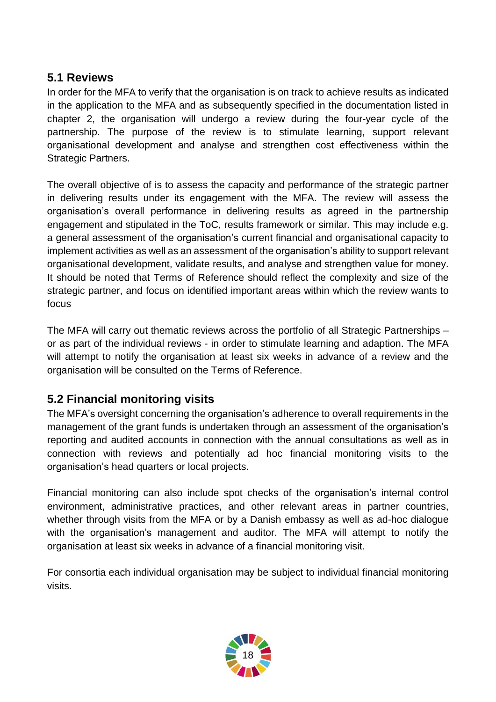#### <span id="page-17-0"></span>**5.1 Reviews**

In order for the MFA to verify that the organisation is on track to achieve results as indicated in the application to the MFA and as subsequently specified in the documentation listed in chapter 2, the organisation will undergo a review during the four-year cycle of the partnership. The purpose of the review is to stimulate learning, support relevant organisational development and analyse and strengthen cost effectiveness within the Strategic Partners.

The overall objective of is to assess the capacity and performance of the strategic partner in delivering results under its engagement with the MFA. The review will assess the organisation's overall performance in delivering results as agreed in the partnership engagement and stipulated in the ToC, results framework or similar. This may include e.g. a general assessment of the organisation's current financial and organisational capacity to implement activities as well as an assessment of the organisation's ability to support relevant organisational development, validate results, and analyse and strengthen value for money. It should be noted that Terms of Reference should reflect the complexity and size of the strategic partner, and focus on identified important areas within which the review wants to focus

The MFA will carry out thematic reviews across the portfolio of all Strategic Partnerships – or as part of the individual reviews - in order to stimulate learning and adaption. The MFA will attempt to notify the organisation at least six weeks in advance of a review and the organisation will be consulted on the Terms of Reference.

### <span id="page-17-1"></span>**5.2 Financial monitoring visits**

The MFA's oversight concerning the organisation's adherence to overall requirements in the management of the grant funds is undertaken through an assessment of the organisation's reporting and audited accounts in connection with the annual consultations as well as in connection with reviews and potentially ad hoc financial monitoring visits to the organisation's head quarters or local projects.

Financial monitoring can also include spot checks of the organisation's internal control environment, administrative practices, and other relevant areas in partner countries, whether through visits from the MFA or by a Danish embassy as well as ad-hoc dialogue with the organisation's management and auditor. The MFA will attempt to notify the organisation at least six weeks in advance of a financial monitoring visit.

For consortia each individual organisation may be subject to individual financial monitoring visits.

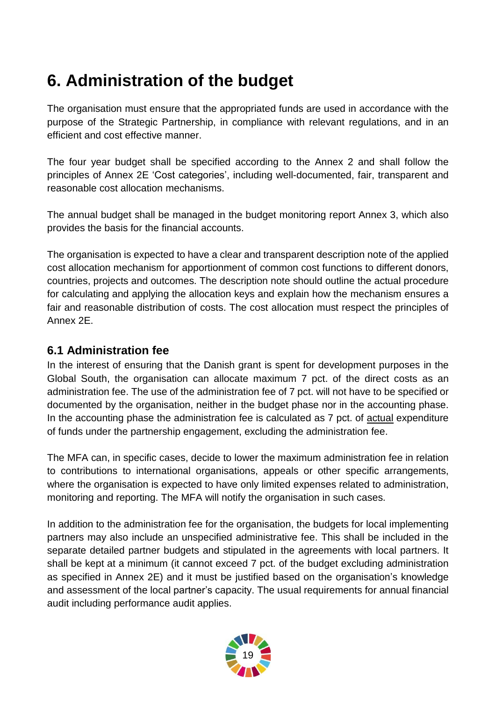# <span id="page-18-0"></span>**6. Administration of the budget**

The organisation must ensure that the appropriated funds are used in accordance with the purpose of the Strategic Partnership, in compliance with relevant regulations, and in an efficient and cost effective manner.

The four year budget shall be specified according to the Annex 2 and shall follow the principles of Annex 2E 'Cost categories', including well-documented, fair, transparent and reasonable cost allocation mechanisms.

The annual budget shall be managed in the budget monitoring report Annex 3, which also provides the basis for the financial accounts.

The organisation is expected to have a clear and transparent description note of the applied cost allocation mechanism for apportionment of common cost functions to different donors, countries, projects and outcomes. The description note should outline the actual procedure for calculating and applying the allocation keys and explain how the mechanism ensures a fair and reasonable distribution of costs. The cost allocation must respect the principles of Annex 2E.

#### <span id="page-18-1"></span>**6.1 Administration fee**

In the interest of ensuring that the Danish grant is spent for development purposes in the Global South, the organisation can allocate maximum 7 pct. of the direct costs as an administration fee. The use of the administration fee of 7 pct. will not have to be specified or documented by the organisation, neither in the budget phase nor in the accounting phase. In the accounting phase the administration fee is calculated as 7 pct. of actual expenditure of funds under the partnership engagement, excluding the administration fee.

The MFA can, in specific cases, decide to lower the maximum administration fee in relation to contributions to international organisations, appeals or other specific arrangements, where the organisation is expected to have only limited expenses related to administration, monitoring and reporting. The MFA will notify the organisation in such cases.

In addition to the administration fee for the organisation, the budgets for local implementing partners may also include an unspecified administrative fee. This shall be included in the separate detailed partner budgets and stipulated in the agreements with local partners. It shall be kept at a minimum (it cannot exceed 7 pct. of the budget excluding administration as specified in Annex 2E) and it must be justified based on the organisation's knowledge and assessment of the local partner's capacity. The usual requirements for annual financial audit including performance audit applies.

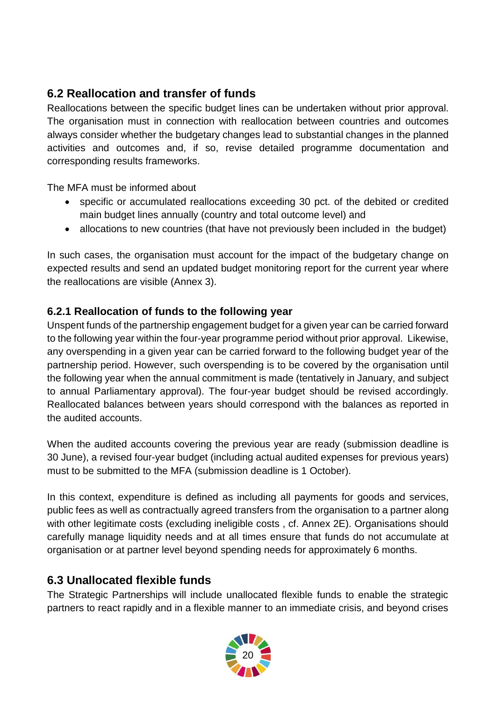## <span id="page-19-0"></span>**6.2 Reallocation and transfer of funds**

Reallocations between the specific budget lines can be undertaken without prior approval. The organisation must in connection with reallocation between countries and outcomes always consider whether the budgetary changes lead to substantial changes in the planned activities and outcomes and, if so, revise detailed programme documentation and corresponding results frameworks.

The MFA must be informed about

- specific or accumulated reallocations exceeding 30 pct. of the debited or credited main budget lines annually (country and total outcome level) and
- allocations to new countries (that have not previously been included in the budget)

In such cases, the organisation must account for the impact of the budgetary change on expected results and send an updated budget monitoring report for the current year where the reallocations are visible (Annex 3).

#### <span id="page-19-1"></span>**6.2.1 Reallocation of funds to the following year**

Unspent funds of the partnership engagement budget for a given year can be carried forward to the following year within the four-year programme period without prior approval. Likewise, any overspending in a given year can be carried forward to the following budget year of the partnership period. However, such overspending is to be covered by the organisation until the following year when the annual commitment is made (tentatively in January, and subject to annual Parliamentary approval). The four-year budget should be revised accordingly. Reallocated balances between years should correspond with the balances as reported in the audited accounts.

When the audited accounts covering the previous year are ready (submission deadline is 30 June), a revised four-year budget (including actual audited expenses for previous years) must to be submitted to the MFA (submission deadline is 1 October).

In this context, expenditure is defined as including all payments for goods and services, public fees as well as contractually agreed transfers from the organisation to a partner along with other legitimate costs (excluding ineligible costs, cf. Annex 2E). Organisations should carefully manage liquidity needs and at all times ensure that funds do not accumulate at organisation or at partner level beyond spending needs for approximately 6 months.

### <span id="page-19-2"></span>**6.3 Unallocated flexible funds**

The Strategic Partnerships will include unallocated flexible funds to enable the strategic partners to react rapidly and in a flexible manner to an immediate crisis, and beyond crises

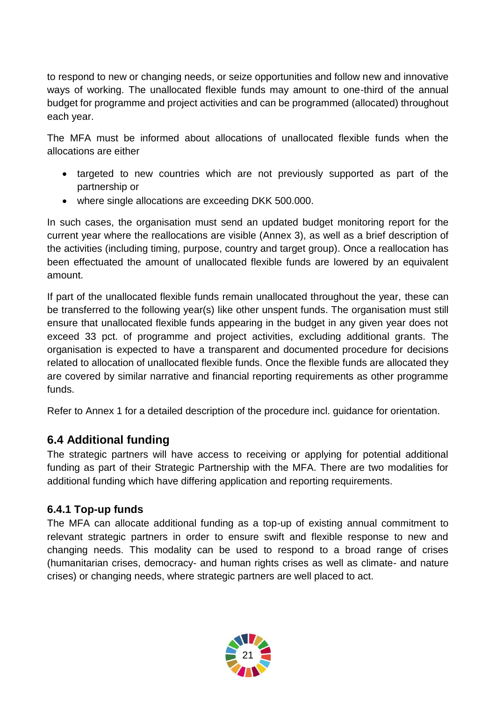to respond to new or changing needs, or seize opportunities and follow new and innovative ways of working. The unallocated flexible funds may amount to one-third of the annual budget for programme and project activities and can be programmed (allocated) throughout each year.

The MFA must be informed about allocations of unallocated flexible funds when the allocations are either

- targeted to new countries which are not previously supported as part of the partnership or
- where single allocations are exceeding DKK 500.000.

In such cases, the organisation must send an updated budget monitoring report for the current year where the reallocations are visible (Annex 3), as well as a brief description of the activities (including timing, purpose, country and target group). Once a reallocation has been effectuated the amount of unallocated flexible funds are lowered by an equivalent amount.

If part of the unallocated flexible funds remain unallocated throughout the year, these can be transferred to the following year(s) like other unspent funds. The organisation must still ensure that unallocated flexible funds appearing in the budget in any given year does not exceed 33 pct. of programme and project activities, excluding additional grants. The organisation is expected to have a transparent and documented procedure for decisions related to allocation of unallocated flexible funds. Once the flexible funds are allocated they are covered by similar narrative and financial reporting requirements as other programme funds.

Refer to Annex 1 for a detailed description of the procedure incl. guidance for orientation.

#### <span id="page-20-0"></span>**6.4 Additional funding**

The strategic partners will have access to receiving or applying for potential additional funding as part of their Strategic Partnership with the MFA. There are two modalities for additional funding which have differing application and reporting requirements.

#### <span id="page-20-1"></span>**6.4.1 Top-up funds**

The MFA can allocate additional funding as a top-up of existing annual commitment to relevant strategic partners in order to ensure swift and flexible response to new and changing needs. This modality can be used to respond to a broad range of crises (humanitarian crises, democracy- and human rights crises as well as climate- and nature crises) or changing needs, where strategic partners are well placed to act.

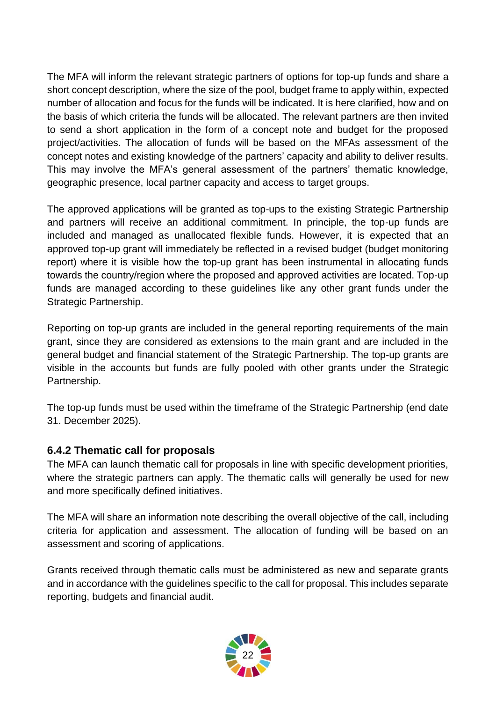The MFA will inform the relevant strategic partners of options for top-up funds and share a short concept description, where the size of the pool, budget frame to apply within, expected number of allocation and focus for the funds will be indicated. It is here clarified, how and on the basis of which criteria the funds will be allocated. The relevant partners are then invited to send a short application in the form of a concept note and budget for the proposed project/activities. The allocation of funds will be based on the MFAs assessment of the concept notes and existing knowledge of the partners' capacity and ability to deliver results. This may involve the MFA's general assessment of the partners' thematic knowledge, geographic presence, local partner capacity and access to target groups.

The approved applications will be granted as top-ups to the existing Strategic Partnership and partners will receive an additional commitment. In principle, the top-up funds are included and managed as unallocated flexible funds. However, it is expected that an approved top-up grant will immediately be reflected in a revised budget (budget monitoring report) where it is visible how the top-up grant has been instrumental in allocating funds towards the country/region where the proposed and approved activities are located. Top-up funds are managed according to these guidelines like any other grant funds under the Strategic Partnership.

Reporting on top-up grants are included in the general reporting requirements of the main grant, since they are considered as extensions to the main grant and are included in the general budget and financial statement of the Strategic Partnership. The top-up grants are visible in the accounts but funds are fully pooled with other grants under the Strategic Partnership.

The top-up funds must be used within the timeframe of the Strategic Partnership (end date 31. December 2025).

#### <span id="page-21-0"></span>**6.4.2 Thematic call for proposals**

The MFA can launch thematic call for proposals in line with specific development priorities, where the strategic partners can apply. The thematic calls will generally be used for new and more specifically defined initiatives.

The MFA will share an information note describing the overall objective of the call, including criteria for application and assessment. The allocation of funding will be based on an assessment and scoring of applications.

Grants received through thematic calls must be administered as new and separate grants and in accordance with the guidelines specific to the call for proposal. This includes separate reporting, budgets and financial audit.

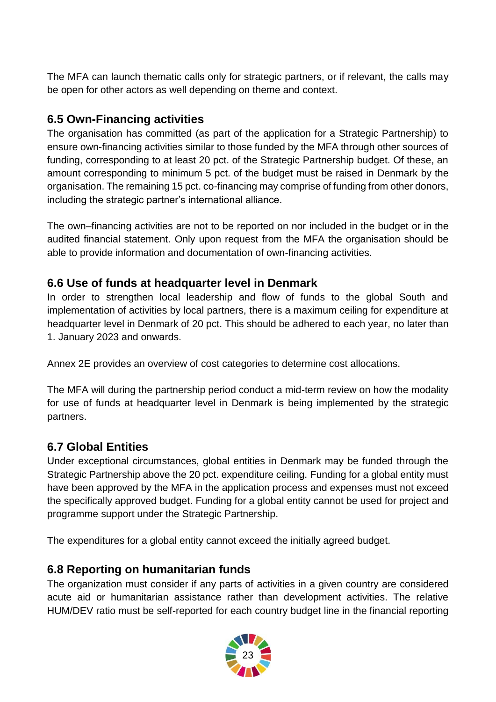The MFA can launch thematic calls only for strategic partners, or if relevant, the calls may be open for other actors as well depending on theme and context.

### <span id="page-22-0"></span>**6.5 Own-Financing activities**

The organisation has committed (as part of the application for a Strategic Partnership) to ensure own-financing activities similar to those funded by the MFA through other sources of funding, corresponding to at least 20 pct. of the Strategic Partnership budget. Of these, an amount corresponding to minimum 5 pct. of the budget must be raised in Denmark by the organisation. The remaining 15 pct. co-financing may comprise of funding from other donors, including the strategic partner's international alliance.

The own–financing activities are not to be reported on nor included in the budget or in the audited financial statement. Only upon request from the MFA the organisation should be able to provide information and documentation of own-financing activities.

### <span id="page-22-1"></span>**6.6 Use of funds at headquarter level in Denmark**

In order to strengthen local leadership and flow of funds to the global South and implementation of activities by local partners, there is a maximum ceiling for expenditure at headquarter level in Denmark of 20 pct. This should be adhered to each year, no later than 1. January 2023 and onwards.

Annex 2E provides an overview of cost categories to determine cost allocations.

The MFA will during the partnership period conduct a mid-term review on how the modality for use of funds at headquarter level in Denmark is being implemented by the strategic partners.

### <span id="page-22-2"></span>**6.7 Global Entities**

Under exceptional circumstances, global entities in Denmark may be funded through the Strategic Partnership above the 20 pct. expenditure ceiling. Funding for a global entity must have been approved by the MFA in the application process and expenses must not exceed the specifically approved budget. Funding for a global entity cannot be used for project and programme support under the Strategic Partnership.

The expenditures for a global entity cannot exceed the initially agreed budget.

#### <span id="page-22-3"></span>**6.8 Reporting on humanitarian funds**

The organization must consider if any parts of activities in a given country are considered acute aid or humanitarian assistance rather than development activities. The relative HUM/DEV ratio must be self-reported for each country budget line in the financial reporting

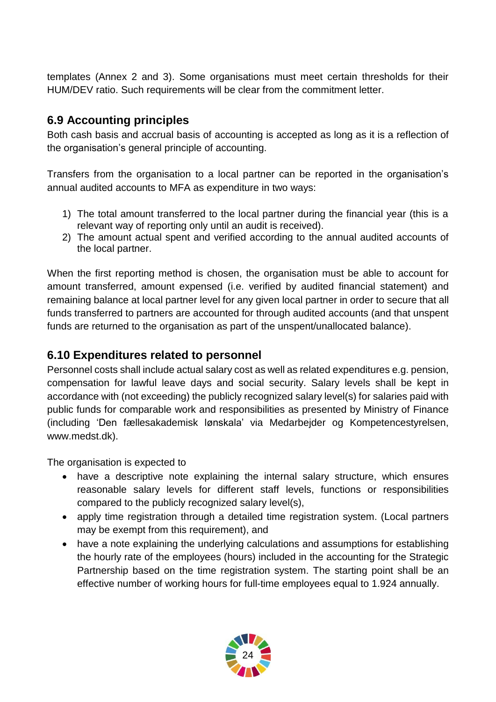templates (Annex 2 and 3). Some organisations must meet certain thresholds for their HUM/DEV ratio. Such requirements will be clear from the commitment letter.

### <span id="page-23-0"></span>**6.9 Accounting principles**

Both cash basis and accrual basis of accounting is accepted as long as it is a reflection of the organisation's general principle of accounting.

Transfers from the organisation to a local partner can be reported in the organisation's annual audited accounts to MFA as expenditure in two ways:

- 1) The total amount transferred to the local partner during the financial year (this is a relevant way of reporting only until an audit is received).
- 2) The amount actual spent and verified according to the annual audited accounts of the local partner.

When the first reporting method is chosen, the organisation must be able to account for amount transferred, amount expensed (i.e. verified by audited financial statement) and remaining balance at local partner level for any given local partner in order to secure that all funds transferred to partners are accounted for through audited accounts (and that unspent funds are returned to the organisation as part of the unspent/unallocated balance).

#### <span id="page-23-1"></span>**6.10 Expenditures related to personnel**

Personnel costs shall include actual salary cost as well as related expenditures e.g. pension, compensation for lawful leave days and social security. Salary levels shall be kept in accordance with (not exceeding) the publicly recognized salary level(s) for salaries paid with public funds for comparable work and responsibilities as presented by Ministry of Finance (including 'Den fællesakademisk lønskala' via Medarbejder og Kompetencestyrelsen, www.medst.dk).

The organisation is expected to

- have a descriptive note explaining the internal salary structure, which ensures reasonable salary levels for different staff levels, functions or responsibilities compared to the publicly recognized salary level(s),
- apply time registration through a detailed time registration system. (Local partners may be exempt from this requirement), and
- have a note explaining the underlying calculations and assumptions for establishing the hourly rate of the employees (hours) included in the accounting for the Strategic Partnership based on the time registration system. The starting point shall be an effective number of working hours for full-time employees equal to 1.924 annually.

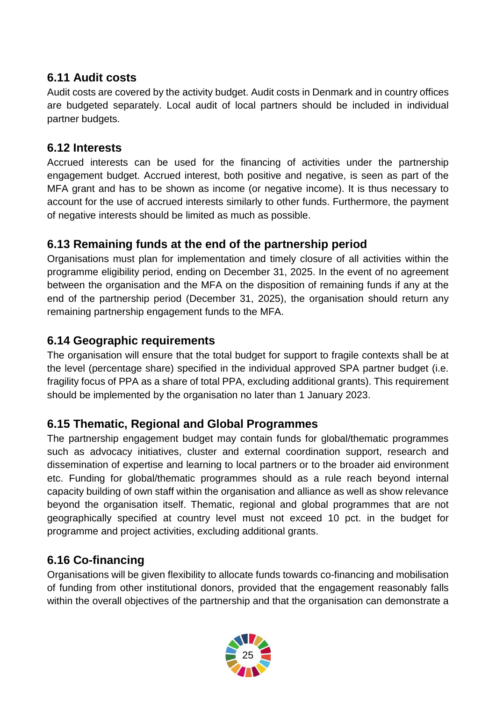### <span id="page-24-0"></span>**6.11 Audit costs**

Audit costs are covered by the activity budget. Audit costs in Denmark and in country offices are budgeted separately. Local audit of local partners should be included in individual partner budgets.

#### <span id="page-24-1"></span>**6.12 Interests**

Accrued interests can be used for the financing of activities under the partnership engagement budget. Accrued interest, both positive and negative, is seen as part of the MFA grant and has to be shown as income (or negative income). It is thus necessary to account for the use of accrued interests similarly to other funds. Furthermore, the payment of negative interests should be limited as much as possible.

### <span id="page-24-2"></span>**6.13 Remaining funds at the end of the partnership period**

Organisations must plan for implementation and timely closure of all activities within the programme eligibility period, ending on December 31, 2025. In the event of no agreement between the organisation and the MFA on the disposition of remaining funds if any at the end of the partnership period (December 31, 2025), the organisation should return any remaining partnership engagement funds to the MFA.

### <span id="page-24-3"></span>**6.14 Geographic requirements**

The organisation will ensure that the total budget for support to fragile contexts shall be at the level (percentage share) specified in the individual approved SPA partner budget (i.e. fragility focus of PPA as a share of total PPA, excluding additional grants). This requirement should be implemented by the organisation no later than 1 January 2023.

### <span id="page-24-4"></span>**6.15 Thematic, Regional and Global Programmes**

The partnership engagement budget may contain funds for global/thematic programmes such as advocacy initiatives, cluster and external coordination support, research and dissemination of expertise and learning to local partners or to the broader aid environment etc. Funding for global/thematic programmes should as a rule reach beyond internal capacity building of own staff within the organisation and alliance as well as show relevance beyond the organisation itself. Thematic, regional and global programmes that are not geographically specified at country level must not exceed 10 pct. in the budget for programme and project activities, excluding additional grants.

### <span id="page-24-5"></span>**6.16 Co-financing**

Organisations will be given flexibility to allocate funds towards co-financing and mobilisation of funding from other institutional donors, provided that the engagement reasonably falls within the overall objectives of the partnership and that the organisation can demonstrate a

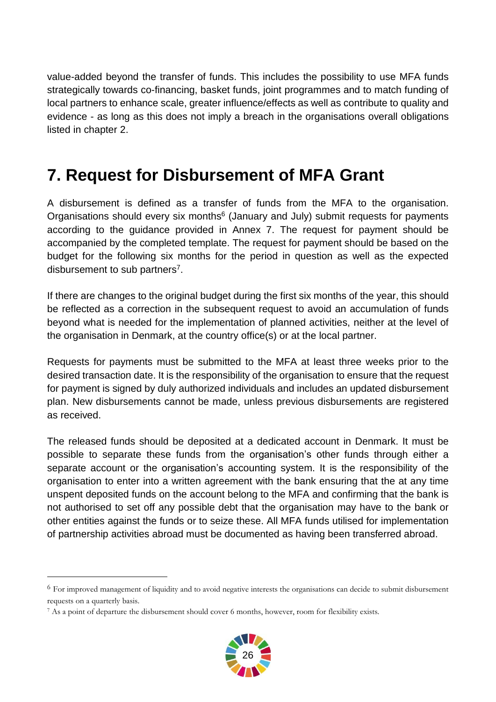value-added beyond the transfer of funds. This includes the possibility to use MFA funds strategically towards co-financing, basket funds, joint programmes and to match funding of local partners to enhance scale, greater influence/effects as well as contribute to quality and evidence - as long as this does not imply a breach in the organisations overall obligations listed in chapter 2.

# <span id="page-25-0"></span>**7. Request for Disbursement of MFA Grant**

A disbursement is defined as a transfer of funds from the MFA to the organisation. Organisations should every six months<sup>6</sup> (January and July) submit requests for payments according to the guidance provided in Annex 7. The request for payment should be accompanied by the completed template. The request for payment should be based on the budget for the following six months for the period in question as well as the expected disbursement to sub partners<sup>7</sup>.

If there are changes to the original budget during the first six months of the year, this should be reflected as a correction in the subsequent request to avoid an accumulation of funds beyond what is needed for the implementation of planned activities, neither at the level of the organisation in Denmark, at the country office(s) or at the local partner.

Requests for payments must be submitted to the MFA at least three weeks prior to the desired transaction date. It is the responsibility of the organisation to ensure that the request for payment is signed by duly authorized individuals and includes an updated disbursement plan. New disbursements cannot be made, unless previous disbursements are registered as received.

The released funds should be deposited at a dedicated account in Denmark. It must be possible to separate these funds from the organisation's other funds through either a separate account or the organisation's accounting system. It is the responsibility of the organisation to enter into a written agreement with the bank ensuring that the at any time unspent deposited funds on the account belong to the MFA and confirming that the bank is not authorised to set off any possible debt that the organisation may have to the bank or other entities against the funds or to seize these. All MFA funds utilised for implementation of partnership activities abroad must be documented as having been transferred abroad.

-



 $6$  For improved management of liquidity and to avoid negative interests the organisations can decide to submit disbursement requests on a quarterly basis.

<sup>7</sup> As a point of departure the disbursement should cover 6 months, however, room for flexibility exists.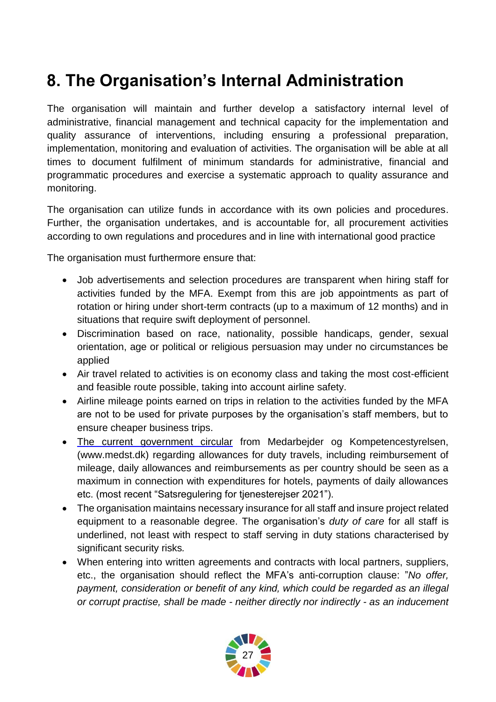# <span id="page-26-0"></span>**8. The Organisation's Internal Administration**

The organisation will maintain and further develop a satisfactory internal level of administrative, financial management and technical capacity for the implementation and quality assurance of interventions, including ensuring a professional preparation, implementation, monitoring and evaluation of activities. The organisation will be able at all times to document fulfilment of minimum standards for administrative, financial and programmatic procedures and exercise a systematic approach to quality assurance and monitoring.

The organisation can utilize funds in accordance with its own policies and procedures. Further, the organisation undertakes, and is accountable for, all procurement activities according to own regulations and procedures and in line with international good practice

The organisation must furthermore ensure that:

- Job advertisements and selection procedures are transparent when hiring staff for activities funded by the MFA. Exempt from this are job appointments as part of rotation or hiring under short-term contracts (up to a maximum of 12 months) and in situations that require swift deployment of personnel.
- Discrimination based on race, nationality, possible handicaps, gender, sexual orientation, age or political or religious persuasion may under no circumstances be applied
- Air travel related to activities is on economy class and taking the most cost-efficient and feasible route possible, taking into account airline safety.
- Airline mileage points earned on trips in relation to the activities funded by the MFA are not to be used for private purposes by the organisation's staff members, but to ensure cheaper business trips.
- [The current government circular](https://cirkulaere.medst.dk/media/1169/054-20.pdf) from Medarbejder og Kompetencestyrelsen, (www.medst.dk) regarding allowances for duty travels, including reimbursement of mileage, daily allowances and reimbursements as per country should be seen as a maximum in connection with expenditures for hotels, payments of daily allowances etc. (most recent "Satsregulering for tjenesterejser 2021").
- The organisation maintains necessary insurance for all staff and insure project related equipment to a reasonable degree. The organisation's *duty of care* for all staff is underlined, not least with respect to staff serving in duty stations characterised by significant security risks*.*
- When entering into written agreements and contracts with local partners, suppliers, etc., the organisation should reflect the MFA's anti-corruption clause: "*No offer, payment, consideration or benefit of any kind, which could be regarded as an illegal or corrupt practise, shall be made - neither directly nor indirectly - as an inducement*

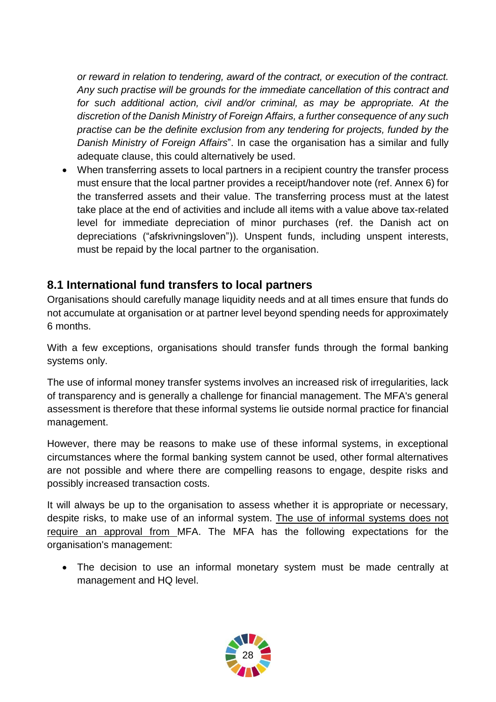*or reward in relation to tendering, award of the contract, or execution of the contract. Any such practise will be grounds for the immediate cancellation of this contract and for such additional action, civil and/or criminal, as may be appropriate. At the discretion of the Danish Ministry of Foreign Affairs, a further consequence of any such practise can be the definite exclusion from any tendering for projects, funded by the Danish Ministry of Foreign Affairs*". In case the organisation has a similar and fully adequate clause, this could alternatively be used.

• When transferring assets to local partners in a recipient country the transfer process must ensure that the local partner provides a receipt/handover note (ref. Annex 6) for the transferred assets and their value. The transferring process must at the latest take place at the end of activities and include all items with a value above tax-related level for immediate depreciation of minor purchases (ref. the Danish act on depreciations ("afskrivningsloven")). Unspent funds, including unspent interests, must be repaid by the local partner to the organisation.

#### <span id="page-27-0"></span>**8.1 International fund transfers to local partners**

Organisations should carefully manage liquidity needs and at all times ensure that funds do not accumulate at organisation or at partner level beyond spending needs for approximately 6 months.

With a few exceptions, organisations should transfer funds through the formal banking systems only.

The use of informal money transfer systems involves an increased risk of irregularities, lack of transparency and is generally a challenge for financial management. The MFA's general assessment is therefore that these informal systems lie outside normal practice for financial management.

However, there may be reasons to make use of these informal systems, in exceptional circumstances where the formal banking system cannot be used, other formal alternatives are not possible and where there are compelling reasons to engage, despite risks and possibly increased transaction costs.

It will always be up to the organisation to assess whether it is appropriate or necessary, despite risks, to make use of an informal system. The use of informal systems does not require an approval from MFA. The MFA has the following expectations for the organisation's management:

 The decision to use an informal monetary system must be made centrally at management and HQ level.

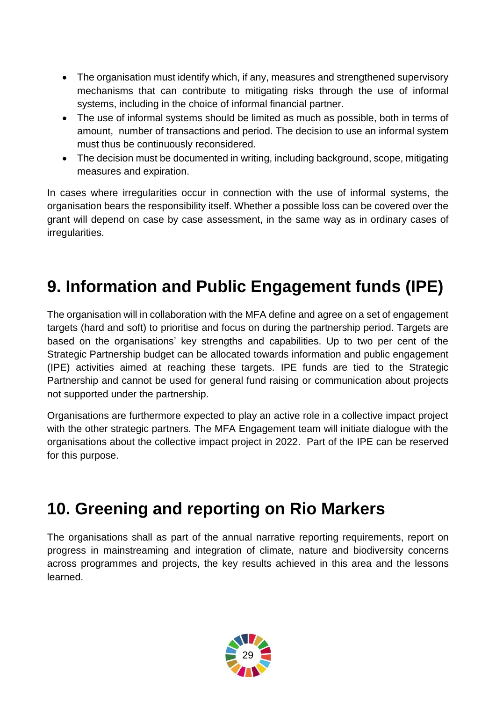- The organisation must identify which, if any, measures and strengthened supervisory mechanisms that can contribute to mitigating risks through the use of informal systems, including in the choice of informal financial partner.
- The use of informal systems should be limited as much as possible, both in terms of amount, number of transactions and period. The decision to use an informal system must thus be continuously reconsidered.
- The decision must be documented in writing, including background, scope, mitigating measures and expiration.

In cases where irregularities occur in connection with the use of informal systems, the organisation bears the responsibility itself. Whether a possible loss can be covered over the grant will depend on case by case assessment, in the same way as in ordinary cases of irregularities.

# <span id="page-28-0"></span>**9. Information and Public Engagement funds (IPE)**

The organisation will in collaboration with the MFA define and agree on a set of engagement targets (hard and soft) to prioritise and focus on during the partnership period. Targets are based on the organisations' key strengths and capabilities. Up to two per cent of the Strategic Partnership budget can be allocated towards information and public engagement (IPE) activities aimed at reaching these targets. IPE funds are tied to the Strategic Partnership and cannot be used for general fund raising or communication about projects not supported under the partnership.

Organisations are furthermore expected to play an active role in a collective impact project with the other strategic partners. The MFA Engagement team will initiate dialogue with the organisations about the collective impact project in 2022. Part of the IPE can be reserved for this purpose.

# <span id="page-28-1"></span>**10. Greening and reporting on Rio Markers**

The organisations shall as part of the annual narrative reporting requirements, report on progress in mainstreaming and integration of climate, nature and biodiversity concerns across programmes and projects, the key results achieved in this area and the lessons learned.